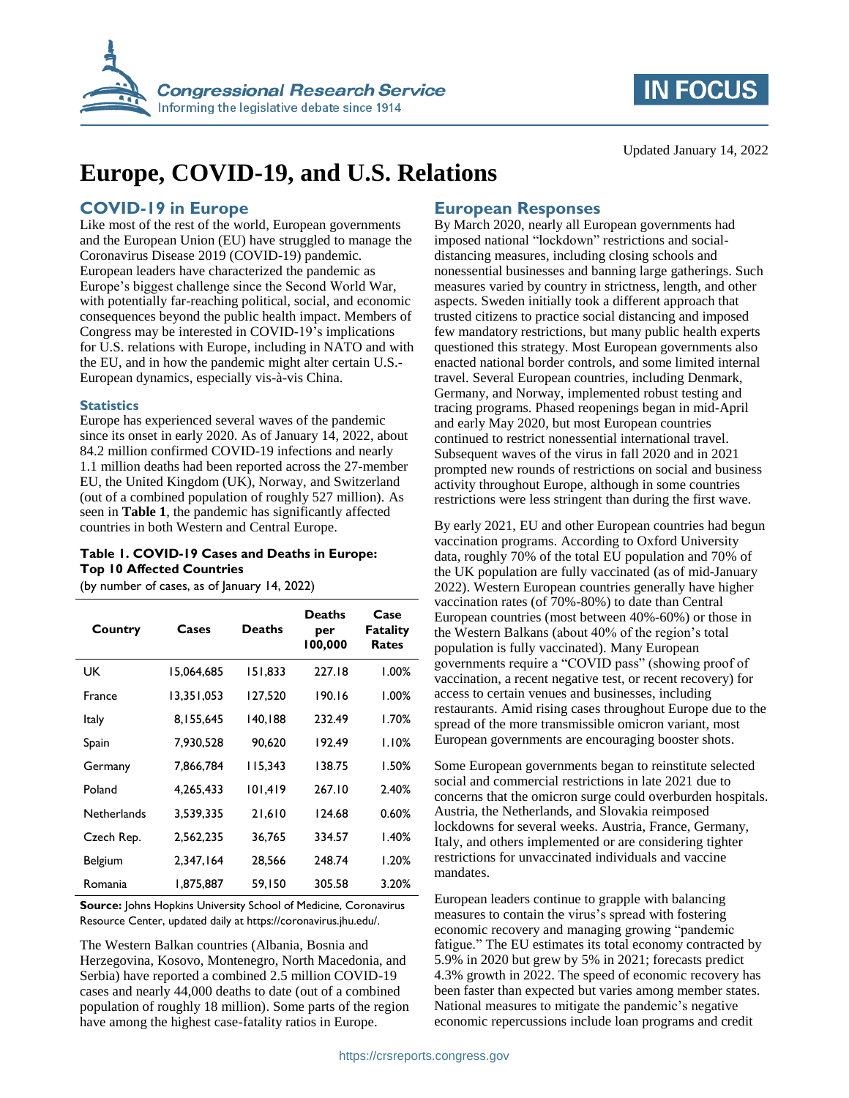



Updated January 14, 2022

# **Europe, COVID-19, and U.S. Relations**

### **COVID-19 in Europe**

Like most of the rest of the world, European governments and the European Union (EU) have struggled to manage the Coronavirus Disease 2019 (COVID-19) pandemic. European leaders have characterized the pandemic as Europe's biggest challenge since the Second World War, with potentially far-reaching political, social, and economic consequences beyond the public health impact. Members of Congress may be interested in COVID-19's implications for U.S. relations with Europe, including in NATO and with the EU, and in how the pandemic might alter certain U.S.- European dynamics, especially vis-à-vis China.

#### **Statistics**

Europe has experienced several waves of the pandemic since its onset in early 2020. As of January 14, 2022, about 84.2 million confirmed COVID-19 infections and nearly 1.1 million deaths had been reported across the 27-member EU, the United Kingdom (UK), Norway, and Switzerland (out of a combined population of roughly 527 million). As seen in **[Table 1](#page-0-0)**, the pandemic has significantly affected countries in both Western and Central Europe.

#### <span id="page-0-0"></span>**Table 1. COVID-19 Cases and Deaths in Europe: Top 10 Affected Countries**

(by number of cases, as of January 14, 2022)

| Country        | Cases      | <b>Deaths</b> | <b>Deaths</b><br>per<br>100,000 | Case<br><b>Fatality</b><br>Rates |
|----------------|------------|---------------|---------------------------------|----------------------------------|
| UK             | 15,064,685 | 151,833       | 227.18                          | $1.00\%$                         |
| <b>France</b>  | 13,351,053 | 127,520       | 190.16                          | $1.00\%$                         |
| Italy          | 8,155,645  | 140,188       | 232.49                          | 1.70%                            |
| Spain          | 7,930,528  | 90,620        | 192.49                          | 1.10%                            |
| Germany        | 7,866,784  | 115.343       | 138.75                          | 1.50%                            |
| Poland         | 4,265,433  | 101,419       | 267.10                          | 2.40%                            |
| Netherlands    | 3,539,335  | 21,610        | 124.68                          | 0.60%                            |
| Czech Rep.     | 2,562,235  | 36.765        | 334.57                          | 1.40%                            |
| <b>Belgium</b> | 2,347,164  | 28.566        | 248.74                          | 1.20%                            |
| Romania        | 1,875,887  | 59.150        | 305.58                          | 3.20%                            |

**Source:** Johns Hopkins University School of Medicine, Coronavirus Resource Center, updated daily at https://coronavirus.jhu.edu/.

The Western Balkan countries (Albania, Bosnia and Herzegovina, Kosovo, Montenegro, North Macedonia, and Serbia) have reported a combined 2.5 million COVID-19 cases and nearly 44,000 deaths to date (out of a combined population of roughly 18 million). Some parts of the region have among the highest case-fatality ratios in Europe.

## **European Responses**

By March 2020, nearly all European governments had imposed national "lockdown" restrictions and socialdistancing measures, including closing schools and nonessential businesses and banning large gatherings. Such measures varied by country in strictness, length, and other aspects. Sweden initially took a different approach that trusted citizens to practice social distancing and imposed few mandatory restrictions, but many public health experts questioned this strategy. Most European governments also enacted national border controls, and some limited internal travel. Several European countries, including Denmark, Germany, and Norway, implemented robust testing and tracing programs. Phased reopenings began in mid-April and early May 2020, but most European countries continued to restrict nonessential international travel. Subsequent waves of the virus in fall 2020 and in 2021 prompted new rounds of restrictions on social and business activity throughout Europe, although in some countries restrictions were less stringent than during the first wave.

By early 2021, EU and other European countries had begun vaccination programs. According to Oxford University data, roughly 70% of the total EU population and 70% of the UK population are fully vaccinated (as of mid-January 2022). Western European countries generally have higher vaccination rates (of 70%-80%) to date than Central European countries (most between 40%-60%) or those in the Western Balkans (about 40% of the region's total population is fully vaccinated). Many European governments require a "COVID pass" (showing proof of vaccination, a recent negative test, or recent recovery) for access to certain venues and businesses, including restaurants. Amid rising cases throughout Europe due to the spread of the more transmissible omicron variant, most European governments are encouraging booster shots.

Some European governments began to reinstitute selected social and commercial restrictions in late 2021 due to concerns that the omicron surge could overburden hospitals. Austria, the Netherlands, and Slovakia reimposed lockdowns for several weeks. Austria, France, Germany, Italy, and others implemented or are considering tighter restrictions for unvaccinated individuals and vaccine mandates.

European leaders continue to grapple with balancing measures to contain the virus's spread with fostering economic recovery and managing growing "pandemic fatigue." The EU estimates its total economy contracted by 5.9% in 2020 but grew by 5% in 2021; forecasts predict 4.3% growth in 2022. The speed of economic recovery has been faster than expected but varies among member states. National measures to mitigate the pandemic's negative economic repercussions include loan programs and credit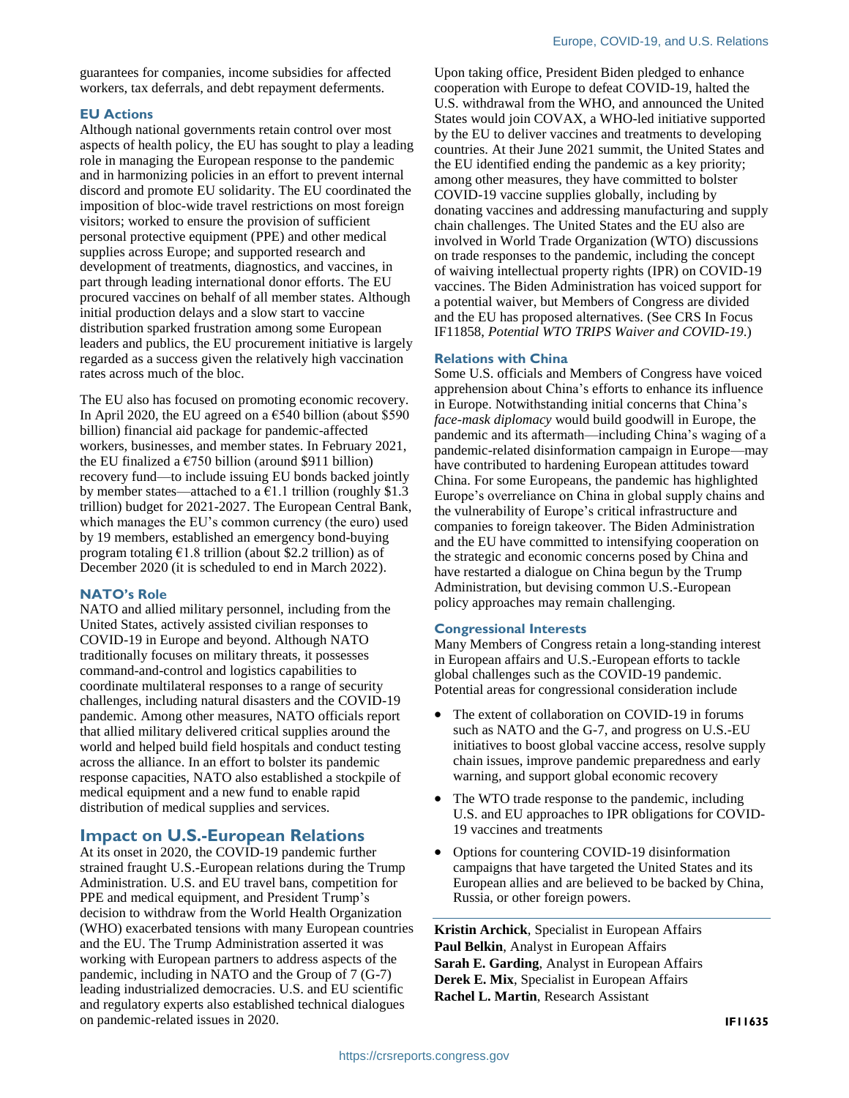guarantees for companies, income subsidies for affected workers, tax deferrals, and debt repayment deferments.

#### **EU Actions**

Although national governments retain control over most aspects of health policy, the EU has sought to play a leading role in managing the European response to the pandemic and in harmonizing policies in an effort to prevent internal discord and promote EU solidarity. The EU coordinated the imposition of bloc-wide travel restrictions on most foreign visitors; worked to ensure the provision of sufficient personal protective equipment (PPE) and other medical supplies across Europe; and supported research and development of treatments, diagnostics, and vaccines, in part through leading international donor efforts. The EU procured vaccines on behalf of all member states. Although initial production delays and a slow start to vaccine distribution sparked frustration among some European leaders and publics, the EU procurement initiative is largely regarded as a success given the relatively high vaccination rates across much of the bloc.

The EU also has focused on promoting economic recovery. In April 2020, the EU agreed on a  $6540$  billion (about \$590 billion) financial aid package for pandemic-affected workers, businesses, and member states. In February 2021, the EU finalized a  $\epsilon$ 750 billion (around \$911 billion) recovery fund—to include issuing EU bonds backed jointly by member states—attached to a  $\epsilon$ 1.1 trillion (roughly \$1.3) trillion) budget for 2021-2027. The European Central Bank, which manages the EU's common currency (the euro) used by 19 members, established an emergency bond-buying program totaling  $\epsilon$ 1.8 trillion (about \$2.2 trillion) as of December 2020 (it is scheduled to end in March 2022).

#### **NATO's Role**

NATO and allied military personnel, including from the United States, actively assisted civilian responses to COVID-19 in Europe and beyond. Although NATO traditionally focuses on military threats, it possesses command-and-control and logistics capabilities to coordinate multilateral responses to a range of security challenges, including natural disasters and the COVID-19 pandemic. Among other measures, NATO officials report that allied military delivered critical supplies around the world and helped build field hospitals and conduct testing across the alliance. In an effort to bolster its pandemic response capacities, NATO also established a stockpile of medical equipment and a new fund to enable rapid distribution of medical supplies and services.

#### **Impact on U.S.-European Relations**

At its onset in 2020, the COVID-19 pandemic further strained fraught U.S.-European relations during the Trump Administration. U.S. and EU travel bans, competition for PPE and medical equipment, and President Trump's decision to withdraw from the World Health Organization (WHO) exacerbated tensions with many European countries and the EU. The Trump Administration asserted it was working with European partners to address aspects of the pandemic, including in NATO and the Group of 7 (G-7) leading industrialized democracies. U.S. and EU scientific and regulatory experts also established technical dialogues on pandemic-related issues in 2020.

Upon taking office, President Biden pledged to enhance cooperation with Europe to defeat COVID-19, halted the U.S. withdrawal from the WHO, and announced the United States would join COVAX, a WHO-led initiative supported by the EU to deliver vaccines and treatments to developing countries. At their June 2021 summit, the United States and the EU identified ending the pandemic as a key priority; among other measures, they have committed to bolster COVID-19 vaccine supplies globally, including by donating vaccines and addressing manufacturing and supply chain challenges. The United States and the EU also are involved in World Trade Organization (WTO) discussions on trade responses to the pandemic, including the concept of waiving intellectual property rights (IPR) on COVID-19 vaccines. The Biden Administration has voiced support for a potential waiver, but Members of Congress are divided and the EU has proposed alternatives. (See CRS In Focus IF11858, *Potential WTO TRIPS Waiver and COVID-19*.)

#### **Relations with China**

Some U.S. officials and Members of Congress have voiced apprehension about China's efforts to enhance its influence in Europe. Notwithstanding initial concerns that China's *face-mask diplomacy* would build goodwill in Europe, the pandemic and its aftermath—including China's waging of a pandemic-related disinformation campaign in Europe—may have contributed to hardening European attitudes toward China. For some Europeans, the pandemic has highlighted Europe's overreliance on China in global supply chains and the vulnerability of Europe's critical infrastructure and companies to foreign takeover. The Biden Administration and the EU have committed to intensifying cooperation on the strategic and economic concerns posed by China and have restarted a dialogue on China begun by the Trump Administration, but devising common U.S.-European policy approaches may remain challenging.

#### **Congressional Interests**

Many Members of Congress retain a long-standing interest in European affairs and U.S.-European efforts to tackle global challenges such as the COVID-19 pandemic. Potential areas for congressional consideration include

- The extent of collaboration on COVID-19 in forums such as NATO and the G-7, and progress on U.S.-EU initiatives to boost global vaccine access, resolve supply chain issues, improve pandemic preparedness and early warning, and support global economic recovery
- The WTO trade response to the pandemic, including U.S. and EU approaches to IPR obligations for COVID-19 vaccines and treatments
- Options for countering COVID-19 disinformation campaigns that have targeted the United States and its European allies and are believed to be backed by China, Russia, or other foreign powers.

**Kristin Archick**, Specialist in European Affairs **Paul Belkin**, Analyst in European Affairs **Sarah E. Garding**, Analyst in European Affairs **Derek E. Mix**, Specialist in European Affairs **Rachel L. Martin**, Research Assistant